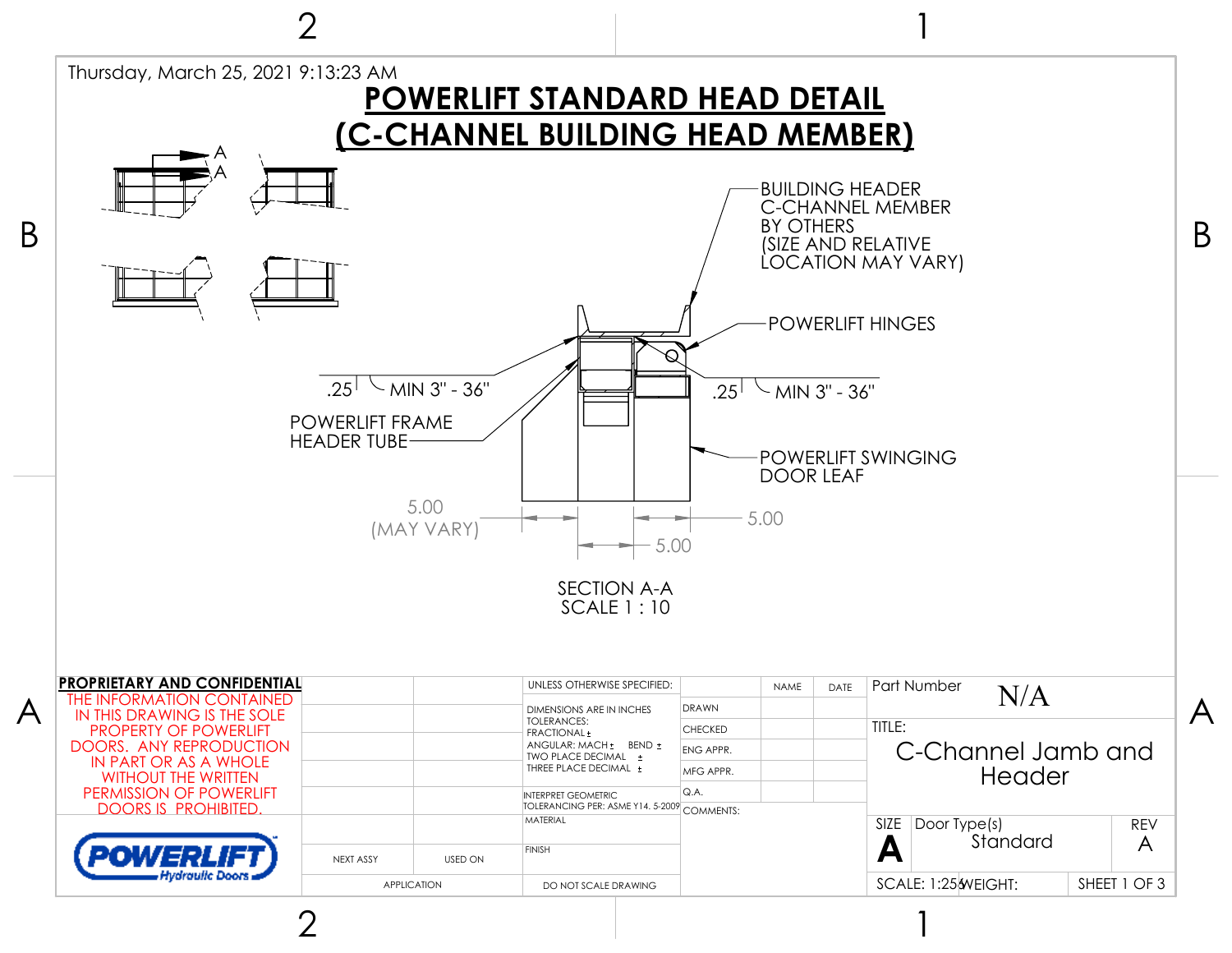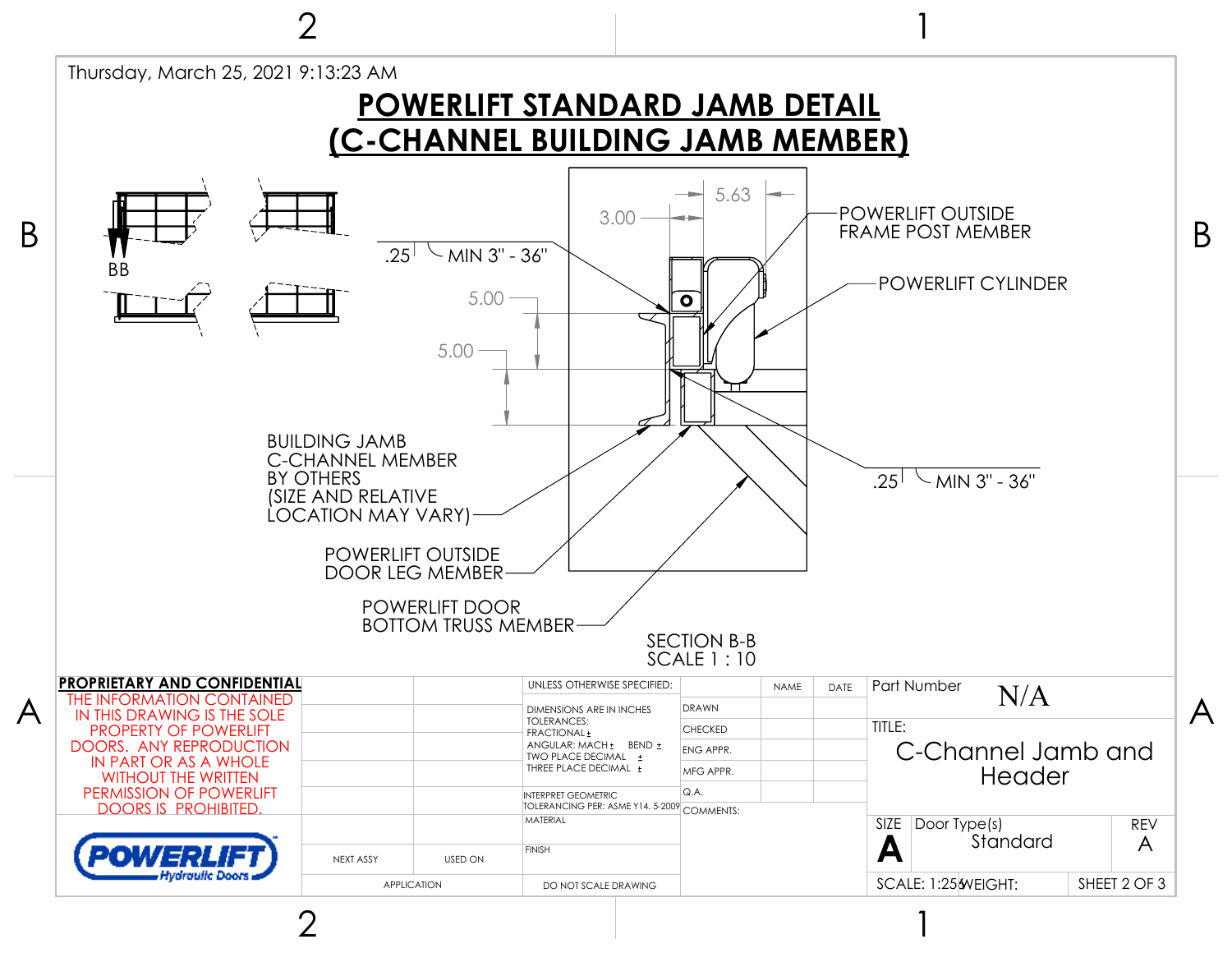